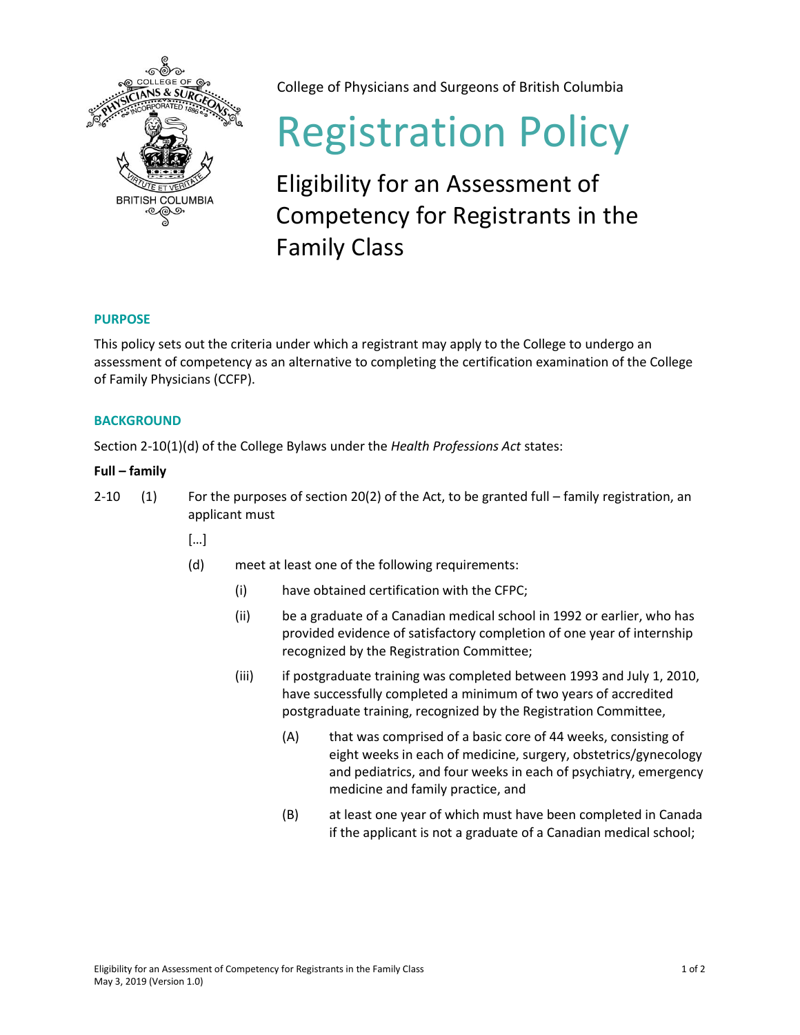

College of Physicians and Surgeons of British Columbia

# Registration Policy

# Eligibility for an Assessment of Competency for Registrants in the Family Class

## **PURPOSE**

This policy sets out the criteria under which a registrant may apply to the College to undergo an assessment of competency as an alternative to completing the certification examination of the College of Family Physicians (CCFP).

### **BACKGROUND**

Section 2-10(1)(d) of the College Bylaws under the *Health Professions Act* states:

### **Full – family**

2-10 (1) For the purposes of section 20(2) of the Act, to be granted full – family registration, an applicant must

- […]
- (d) meet at least one of the following requirements:
	- (i) have obtained certification with the CFPC;
	- (ii) be a graduate of a Canadian medical school in 1992 or earlier, who has provided evidence of satisfactory completion of one year of internship recognized by the Registration Committee;
	- (iii) if postgraduate training was completed between 1993 and July 1, 2010, have successfully completed a minimum of two years of accredited postgraduate training, recognized by the Registration Committee,
		- (A) that was comprised of a basic core of 44 weeks, consisting of eight weeks in each of medicine, surgery, obstetrics/gynecology and pediatrics, and four weeks in each of psychiatry, emergency medicine and family practice, and
		- (B) at least one year of which must have been completed in Canada if the applicant is not a graduate of a Canadian medical school;